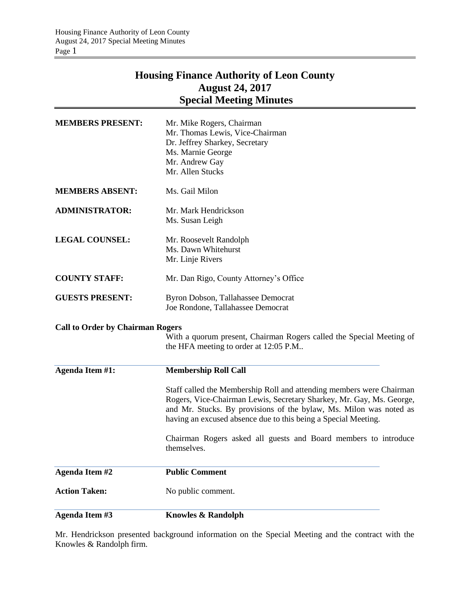## **Housing Finance Authority of Leon County August 24, 2017 Special Meeting Minutes**

| Agenda Item #3                          | <b>Knowles &amp; Randolph</b>                                                                                                                                                                                                                                                        |
|-----------------------------------------|--------------------------------------------------------------------------------------------------------------------------------------------------------------------------------------------------------------------------------------------------------------------------------------|
| <b>Action Taken:</b>                    | No public comment.                                                                                                                                                                                                                                                                   |
| <b>Agenda Item #2</b>                   | <b>Public Comment</b>                                                                                                                                                                                                                                                                |
|                                         | Chairman Rogers asked all guests and Board members to introduce<br>themselves.                                                                                                                                                                                                       |
|                                         | Staff called the Membership Roll and attending members were Chairman<br>Rogers, Vice-Chairman Lewis, Secretary Sharkey, Mr. Gay, Ms. George,<br>and Mr. Stucks. By provisions of the bylaw, Ms. Milon was noted as<br>having an excused absence due to this being a Special Meeting. |
| Agenda Item #1:                         | <b>Membership Roll Call</b>                                                                                                                                                                                                                                                          |
| <b>Call to Order by Chairman Rogers</b> | With a quorum present, Chairman Rogers called the Special Meeting of<br>the HFA meeting to order at 12:05 P.M                                                                                                                                                                        |
| <b>GUESTS PRESENT:</b>                  | Byron Dobson, Tallahassee Democrat<br>Joe Rondone, Tallahassee Democrat                                                                                                                                                                                                              |
| <b>COUNTY STAFF:</b>                    | Mr. Dan Rigo, County Attorney's Office                                                                                                                                                                                                                                               |
| <b>LEGAL COUNSEL:</b>                   | Mr. Roosevelt Randolph<br>Ms. Dawn Whitehurst<br>Mr. Linje Rivers                                                                                                                                                                                                                    |
| <b>ADMINISTRATOR:</b>                   | Mr. Mark Hendrickson<br>Ms. Susan Leigh                                                                                                                                                                                                                                              |
| <b>MEMBERS ABSENT:</b>                  | Ms. Gail Milon                                                                                                                                                                                                                                                                       |
| <b>MEMBERS PRESENT:</b>                 | Mr. Mike Rogers, Chairman<br>Mr. Thomas Lewis, Vice-Chairman<br>Dr. Jeffrey Sharkey, Secretary<br>Ms. Marnie George<br>Mr. Andrew Gay<br>Mr. Allen Stucks                                                                                                                            |

Mr. Hendrickson presented background information on the Special Meeting and the contract with the Knowles & Randolph firm.